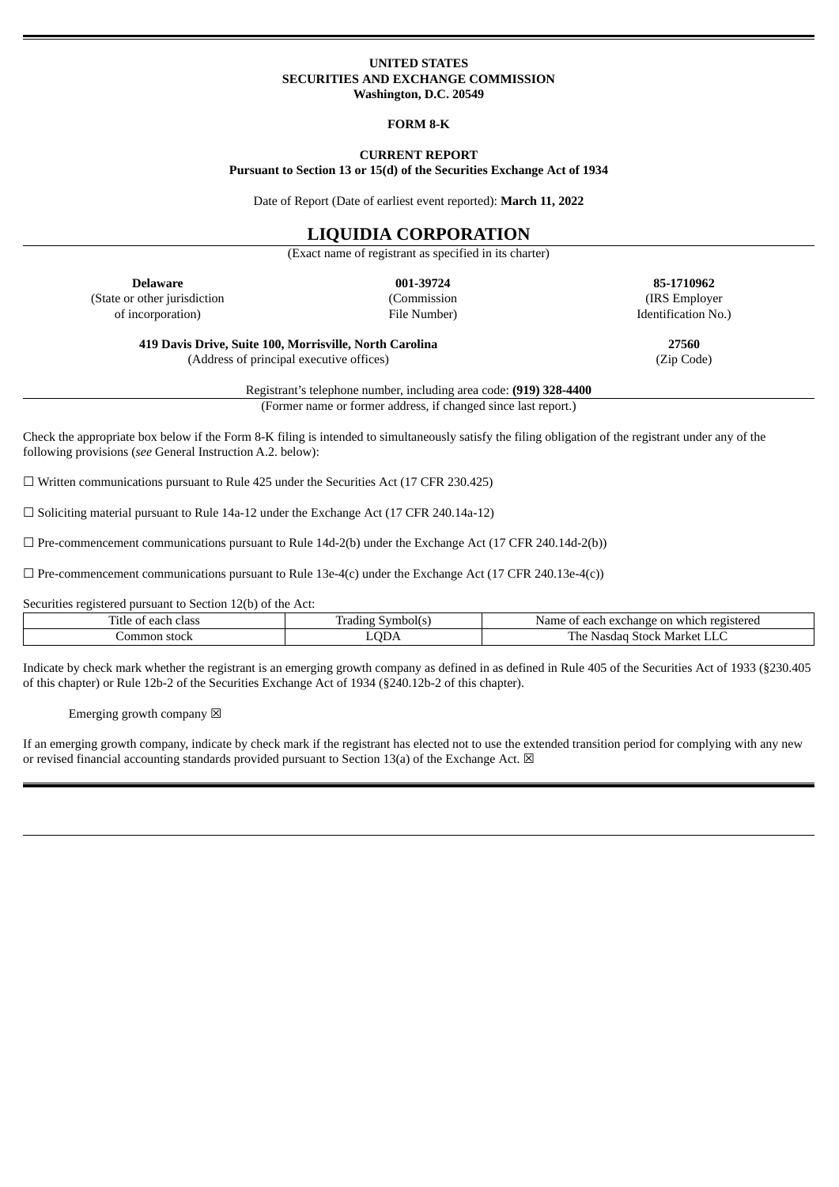### **UNITED STATES SECURITIES AND EXCHANGE COMMISSION Washington, D.C. 20549**

#### **FORM 8-K**

### **CURRENT REPORT Pursuant to Section 13 or 15(d) of the Securities Exchange Act of 1934**

Date of Report (Date of earliest event reported): **March 11, 2022**

# **LIQUIDIA CORPORATION**

(Exact name of registrant as specified in its charter)

**Delaware 001-39724 85-1710962** (State or other jurisdiction of incorporation)

(Commission File Number)

(IRS Employer Identification No.)

**419 Davis Drive, Suite 100, Morrisville, North Carolina 27560** (Address of principal executive offices) (Zip Code)

Registrant's telephone number, including area code: **(919) 328-4400**

(Former name or former address, if changed since last report.)

Check the appropriate box below if the Form 8-K filing is intended to simultaneously satisfy the filing obligation of the registrant under any of the following provisions (*see* General Instruction A.2. below):

 $\Box$  Written communications pursuant to Rule 425 under the Securities Act (17 CFR 230.425)

☐ Soliciting material pursuant to Rule 14a-12 under the Exchange Act (17 CFR 240.14a-12)

 $\square$  Pre-commencement communications pursuant to Rule 14d-2(b) under the Exchange Act (17 CFR 240.14d-2(b))

 $\Box$  Pre-commencement communications pursuant to Rule 13e-4(c) under the Exchange Act (17 CFR 240.13e-4(c))

Securities registered pursuant to Section 12(b) of the Act:

| ÷.<br>Title<br>class<br>each<br>$\mathbf{u}$ | Symbol(s<br>adıng 1 | registered<br><sub>on</sub><br>Name<br>whic<br>exchange<br><b>Anch</b><br>nt<br>וו וח<br>. |
|----------------------------------------------|---------------------|--------------------------------------------------------------------------------------------|
| Lommon stock                                 | $\text{LOD}$        | —<br>Market<br>1 he<br>Nasdad<br>$\cdot$ Stock.<br>حاليله                                  |

Indicate by check mark whether the registrant is an emerging growth company as defined in as defined in Rule 405 of the Securities Act of 1933 (§230.405 of this chapter) or Rule 12b-2 of the Securities Exchange Act of 1934 (§240.12b-2 of this chapter).

Emerging growth company  $\boxtimes$ 

If an emerging growth company, indicate by check mark if the registrant has elected not to use the extended transition period for complying with any new or revised financial accounting standards provided pursuant to Section 13(a) of the Exchange Act.  $\boxtimes$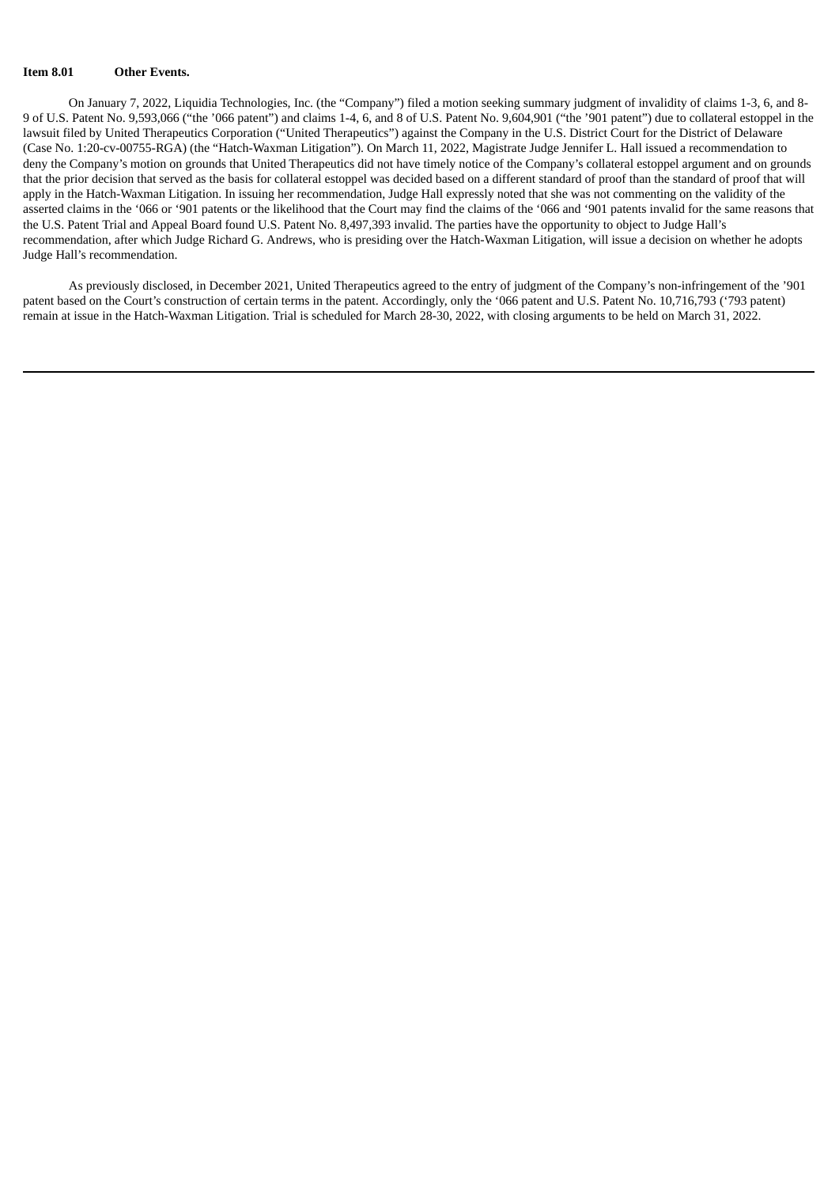### **Item 8.01 Other Events.**

On January 7, 2022, Liquidia Technologies, Inc. (the "Company") filed a motion seeking summary judgment of invalidity of claims 1-3, 6, and 8- 9 of U.S. Patent No. 9,593,066 ("the '066 patent") and claims 1-4, 6, and 8 of U.S. Patent No. 9,604,901 ("the '901 patent") due to collateral estoppel in the lawsuit filed by United Therapeutics Corporation ("United Therapeutics") against the Company in the U.S. District Court for the District of Delaware (Case No. 1:20-cv-00755-RGA) (the "Hatch-Waxman Litigation"). On March 11, 2022, Magistrate Judge Jennifer L. Hall issued a recommendation to deny the Company's motion on grounds that United Therapeutics did not have timely notice of the Company's collateral estoppel argument and on grounds that the prior decision that served as the basis for collateral estoppel was decided based on a different standard of proof than the standard of proof that will apply in the Hatch-Waxman Litigation. In issuing her recommendation, Judge Hall expressly noted that she was not commenting on the validity of the asserted claims in the '066 or '901 patents or the likelihood that the Court may find the claims of the '066 and '901 patents invalid for the same reasons that the U.S. Patent Trial and Appeal Board found U.S. Patent No. 8,497,393 invalid. The parties have the opportunity to object to Judge Hall's recommendation, after which Judge Richard G. Andrews, who is presiding over the Hatch-Waxman Litigation, will issue a decision on whether he adopts Judge Hall's recommendation.

As previously disclosed, in December 2021, United Therapeutics agreed to the entry of judgment of the Company's non-infringement of the '901 patent based on the Court's construction of certain terms in the patent. Accordingly, only the '066 patent and U.S. Patent No. 10,716,793 ('793 patent) remain at issue in the Hatch-Waxman Litigation. Trial is scheduled for March 28-30, 2022, with closing arguments to be held on March 31, 2022.